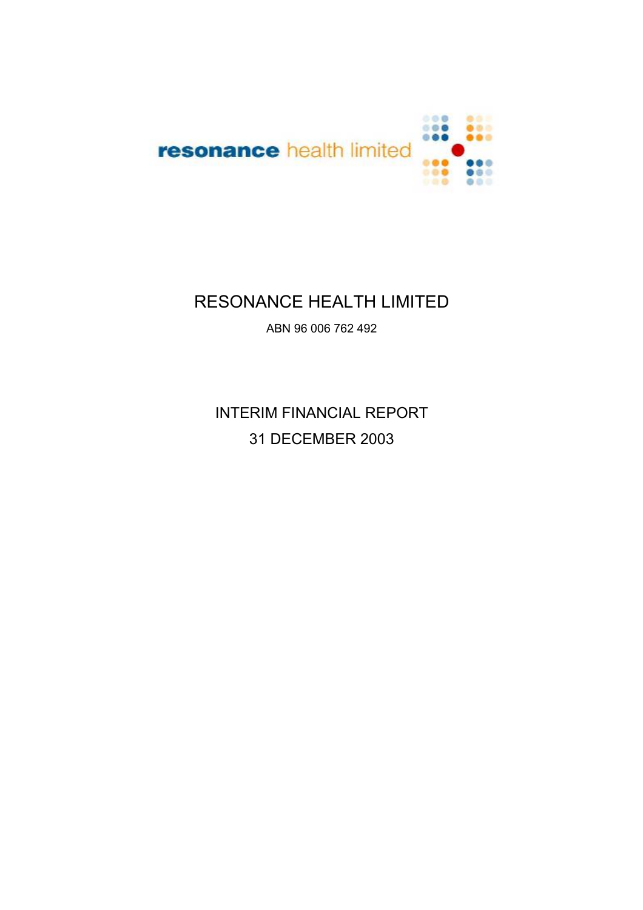

# RESONANCE HEALTH LIMITED

ABN 96 006 762 492

INTERIM FINANCIAL REPORT 31 DECEMBER 2003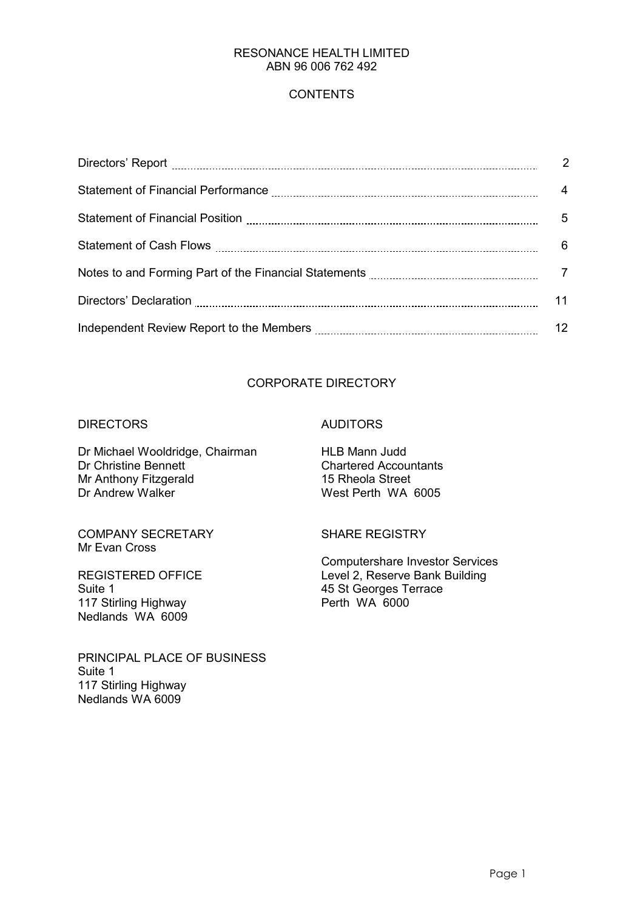## **CONTENTS**

|                                                                                 | $\overline{2}$ |
|---------------------------------------------------------------------------------|----------------|
|                                                                                 | $\overline{4}$ |
|                                                                                 | 5              |
|                                                                                 | 6              |
| Notes to and Forming Part of the Financial Statements <b>Constitution</b> 2006. |                |
|                                                                                 | 11             |
|                                                                                 | 12             |

# CORPORATE DIRECTORY

#### DIRECTORS AUDITORS

Dr Michael Wooldridge, Chairman HLB Mann Judd Dr Christine Bennett<br>
Mr Anthony Fitzgerald<br>
Mr Anthony Fitzgerald<br>
Chartered Accountants Mr Anthony Fitzgerald<br>Dr Andrew Walker

COMPANY SECRETARY SHARE REGISTRY Mr Evan Cross

Suite 1<br>117 Stirling Highway **117 Stirling Highway** Perth WA 6000 117 Stirling Highway Nedlands WA 6009

PRINCIPAL PLACE OF BUSINESS Suite 1 117 Stirling Highway Nedlands WA 6009

West Perth WA 6005

Computershare Investor Services<br>
REGISTERED OFFICE

The Computershare Investor Services

Level 2, Reserve Bank Building Level 2, Reserve Bank Building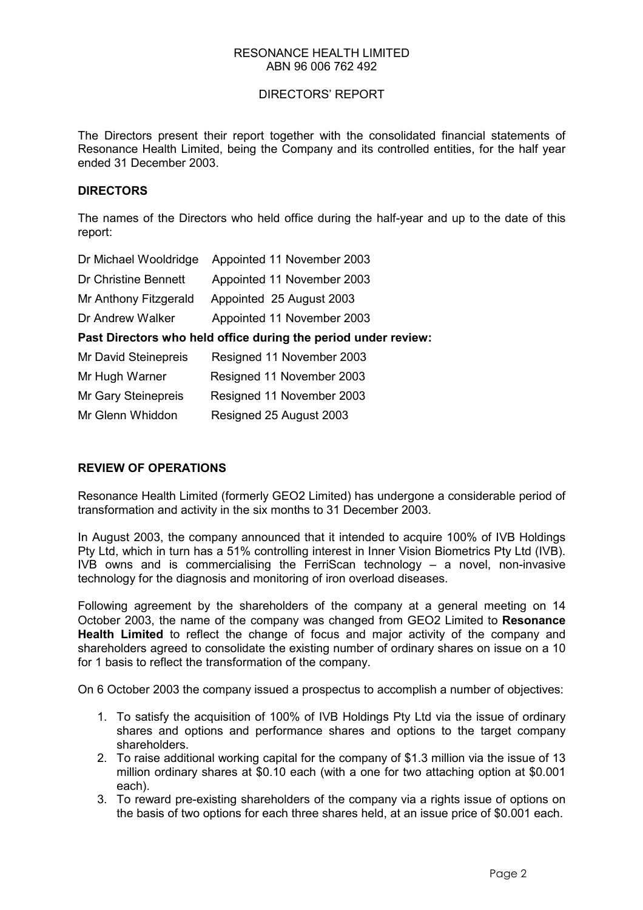#### DIRECTORS' REPORT

The Directors present their report together with the consolidated financial statements of Resonance Health Limited, being the Company and its controlled entities, for the half year ended 31 December 2003.

#### **DIRECTORS**

The names of the Directors who held office during the half-year and up to the date of this report:

| Dr Michael Wooldridge | Appointed 11 November 2003                                     |
|-----------------------|----------------------------------------------------------------|
| Dr Christine Bennett  | Appointed 11 November 2003                                     |
| Mr Anthony Fitzgerald | Appointed 25 August 2003                                       |
| Dr Andrew Walker      | Appointed 11 November 2003                                     |
|                       | Past Directors who held office during the period under review: |
| Mr David Steinepreis  | Resigned 11 November 2003                                      |
| Mr Hugh Warner        | Resigned 11 November 2003                                      |
| Mr Gary Steinepreis   | Resigned 11 November 2003                                      |
| Mr Glenn Whiddon      | Resigned 25 August 2003                                        |

### **REVIEW OF OPERATIONS**

Resonance Health Limited (formerly GEO2 Limited) has undergone a considerable period of transformation and activity in the six months to 31 December 2003.

In August 2003, the company announced that it intended to acquire 100% of IVB Holdings Pty Ltd, which in turn has a 51% controlling interest in Inner Vision Biometrics Pty Ltd (IVB). IVB owns and is commercialising the FerriScan technology – a novel, non-invasive technology for the diagnosis and monitoring of iron overload diseases.

Following agreement by the shareholders of the company at a general meeting on 14 October 2003, the name of the company was changed from GEO2 Limited to **Resonance Health Limited** to reflect the change of focus and major activity of the company and shareholders agreed to consolidate the existing number of ordinary shares on issue on a 10 for 1 basis to reflect the transformation of the company.

On 6 October 2003 the company issued a prospectus to accomplish a number of objectives:

- 1. To satisfy the acquisition of 100% of IVB Holdings Pty Ltd via the issue of ordinary shares and options and performance shares and options to the target company shareholders.
- 2. To raise additional working capital for the company of \$1.3 million via the issue of 13 million ordinary shares at \$0.10 each (with a one for two attaching option at \$0.001 each).
- 3. To reward pre-existing shareholders of the company via a rights issue of options on the basis of two options for each three shares held, at an issue price of \$0.001 each.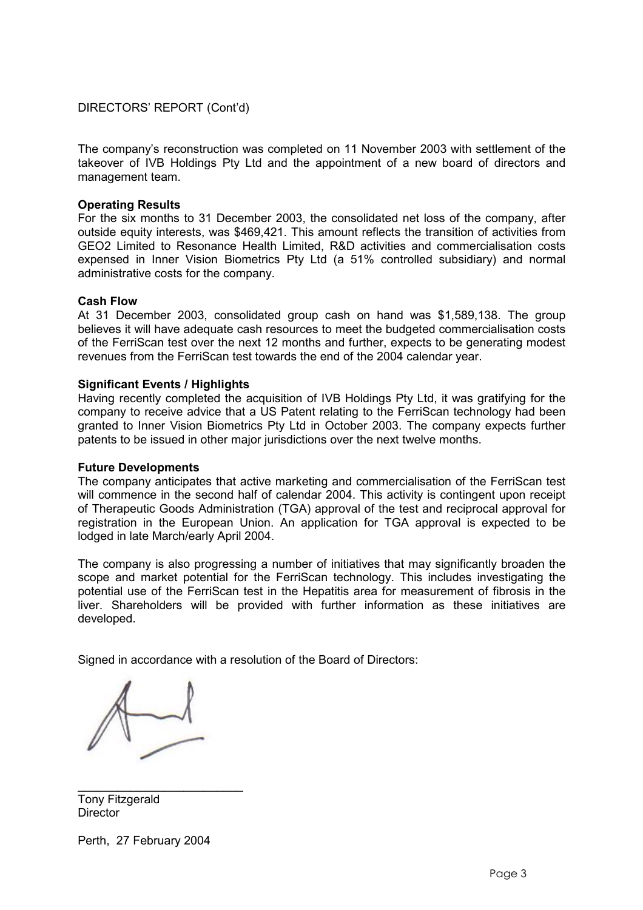DIRECTORS' REPORT (Cont'd)

The company's reconstruction was completed on 11 November 2003 with settlement of the takeover of IVB Holdings Pty Ltd and the appointment of a new board of directors and management team.

#### **Operating Results**

For the six months to 31 December 2003, the consolidated net loss of the company, after outside equity interests, was \$469,421. This amount reflects the transition of activities from GEO2 Limited to Resonance Health Limited, R&D activities and commercialisation costs expensed in Inner Vision Biometrics Pty Ltd (a 51% controlled subsidiary) and normal administrative costs for the company.

#### **Cash Flow**

At 31 December 2003, consolidated group cash on hand was \$1,589,138. The group believes it will have adequate cash resources to meet the budgeted commercialisation costs of the FerriScan test over the next 12 months and further, expects to be generating modest revenues from the FerriScan test towards the end of the 2004 calendar year.

#### **Significant Events / Highlights**

Having recently completed the acquisition of IVB Holdings Pty Ltd, it was gratifying for the company to receive advice that a US Patent relating to the FerriScan technology had been granted to Inner Vision Biometrics Pty Ltd in October 2003. The company expects further patents to be issued in other major jurisdictions over the next twelve months.

#### **Future Developments**

The company anticipates that active marketing and commercialisation of the FerriScan test will commence in the second half of calendar 2004. This activity is contingent upon receipt of Therapeutic Goods Administration (TGA) approval of the test and reciprocal approval for registration in the European Union. An application for TGA approval is expected to be lodged in late March/early April 2004.

The company is also progressing a number of initiatives that may significantly broaden the scope and market potential for the FerriScan technology. This includes investigating the potential use of the FerriScan test in the Hepatitis area for measurement of fibrosis in the liver. Shareholders will be provided with further information as these initiatives are developed.

Signed in accordance with a resolution of the Board of Directors:

\_\_\_\_\_\_\_\_\_\_\_\_\_\_\_\_\_\_\_\_\_\_\_\_\_ Tony Fitzgerald **Director** 

Perth, 27 February 2004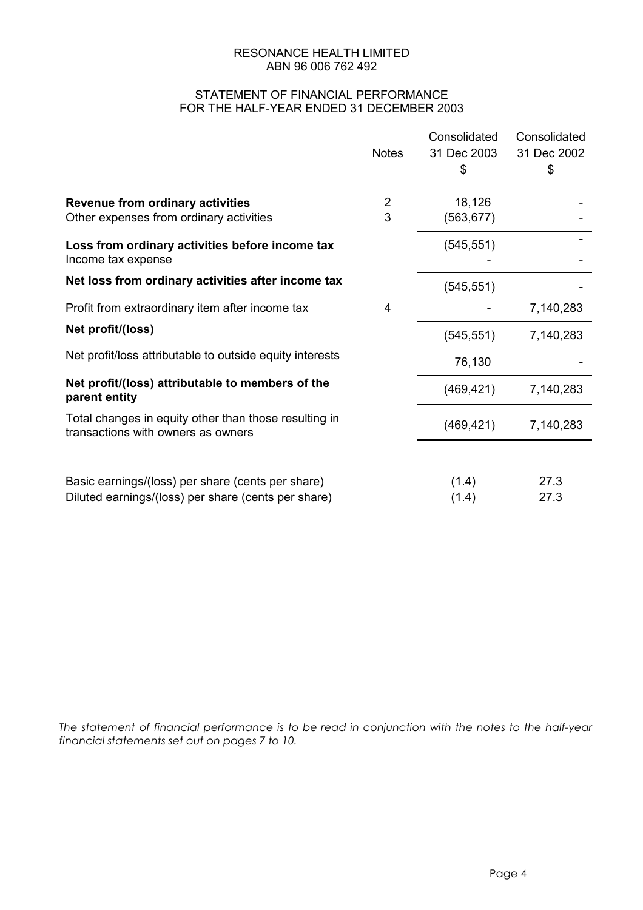#### STATEMENT OF FINANCIAL PERFORMANCE FOR THE HALF-YEAR ENDED 31 DECEMBER 2003

|                                                                                             |                | Consolidated | Consolidated |
|---------------------------------------------------------------------------------------------|----------------|--------------|--------------|
|                                                                                             | <b>Notes</b>   | 31 Dec 2003  | 31 Dec 2002  |
|                                                                                             |                | \$           | \$           |
|                                                                                             |                |              |              |
| <b>Revenue from ordinary activities</b>                                                     | $\overline{2}$ | 18,126       |              |
| Other expenses from ordinary activities                                                     | 3              | (563, 677)   |              |
| Loss from ordinary activities before income tax                                             |                | (545, 551)   |              |
| Income tax expense                                                                          |                |              |              |
| Net loss from ordinary activities after income tax                                          |                |              |              |
|                                                                                             |                | (545, 551)   |              |
| Profit from extraordinary item after income tax                                             | 4              |              | 7,140,283    |
| Net profit/(loss)                                                                           |                |              | 7,140,283    |
|                                                                                             |                | (545, 551)   |              |
| Net profit/loss attributable to outside equity interests                                    |                | 76,130       |              |
| Net profit/(loss) attributable to members of the                                            |                |              |              |
| parent entity                                                                               |                | (469, 421)   | 7,140,283    |
|                                                                                             |                |              |              |
| Total changes in equity other than those resulting in<br>transactions with owners as owners |                | (469, 421)   | 7,140,283    |
|                                                                                             |                |              |              |
|                                                                                             |                |              |              |
| Basic earnings/(loss) per share (cents per share)                                           |                | (1.4)        | 27.3         |
| Diluted earnings/(loss) per share (cents per share)                                         |                | (1.4)        | 27.3         |
|                                                                                             |                |              |              |

*The statement of financial performance is to be read in conjunction with the notes to the half-year financial statements set out on pages 7 to 10.*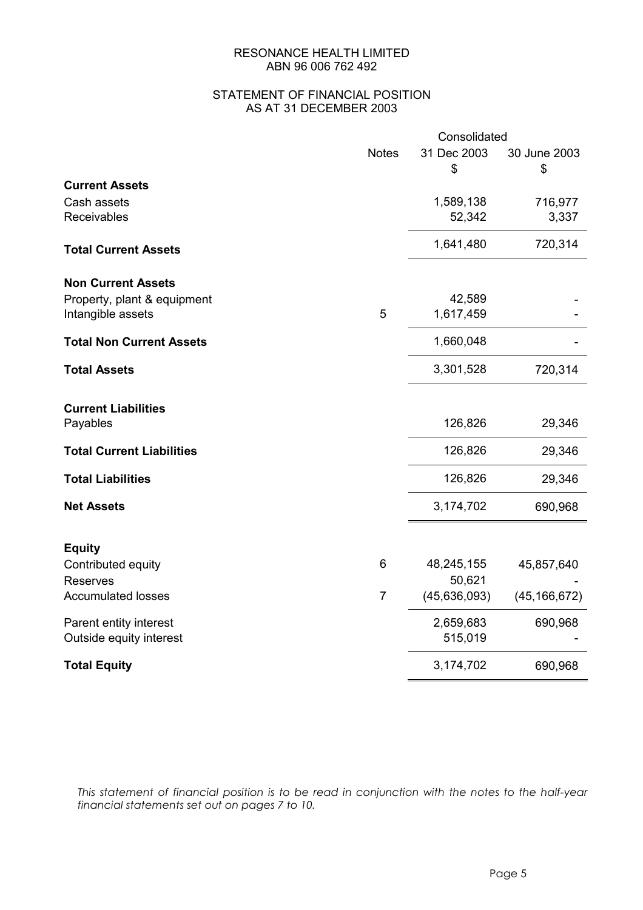#### STATEMENT OF FINANCIAL POSITION AS AT 31 DECEMBER 2003

|                                  | Consolidated   |                |                |
|----------------------------------|----------------|----------------|----------------|
|                                  | <b>Notes</b>   | 31 Dec 2003    | 30 June 2003   |
|                                  |                | \$             | \$             |
| <b>Current Assets</b>            |                |                |                |
| Cash assets                      |                | 1,589,138      | 716,977        |
| Receivables                      |                | 52,342         | 3,337          |
| <b>Total Current Assets</b>      |                | 1,641,480      | 720,314        |
| <b>Non Current Assets</b>        |                |                |                |
| Property, plant & equipment      |                | 42,589         |                |
| Intangible assets                | 5              | 1,617,459      |                |
| <b>Total Non Current Assets</b>  |                | 1,660,048      |                |
| <b>Total Assets</b>              |                | 3,301,528      | 720,314        |
| <b>Current Liabilities</b>       |                |                |                |
| Payables                         |                | 126,826        | 29,346         |
| <b>Total Current Liabilities</b> |                | 126,826        | 29,346         |
| <b>Total Liabilities</b>         |                | 126,826        | 29,346         |
| <b>Net Assets</b>                |                | 3,174,702      | 690,968        |
|                                  |                |                |                |
| <b>Equity</b>                    |                |                |                |
| Contributed equity               | 6              | 48,245,155     | 45,857,640     |
| <b>Reserves</b>                  |                | 50,621         |                |
| <b>Accumulated losses</b>        | $\overline{7}$ | (45, 636, 093) | (45, 166, 672) |
| Parent entity interest           |                | 2,659,683      | 690,968        |
| Outside equity interest          |                | 515,019        |                |
| <b>Total Equity</b>              |                | 3,174,702      | 690,968        |

*This statement of financial position is to be read in conjunction with the notes to the half-year financial statements set out on pages 7 to 10.*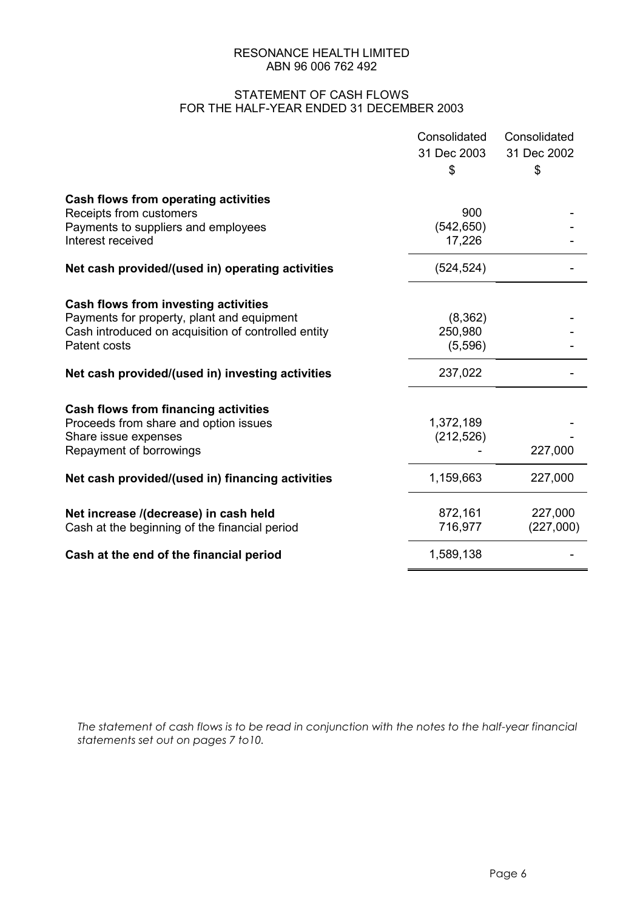#### STATEMENT OF CASH FLOWS FOR THE HALF-YEAR ENDED 31 DECEMBER 2003

| 31 Dec 2003<br>31 Dec 2002                                               |  |
|--------------------------------------------------------------------------|--|
|                                                                          |  |
| \$<br>\$                                                                 |  |
| <b>Cash flows from operating activities</b>                              |  |
| 900<br>Receipts from customers                                           |  |
| Payments to suppliers and employees<br>(542, 650)                        |  |
| Interest received<br>17,226                                              |  |
| (524, 524)<br>Net cash provided/(used in) operating activities           |  |
| <b>Cash flows from investing activities</b>                              |  |
| (8, 362)<br>Payments for property, plant and equipment                   |  |
| Cash introduced on acquisition of controlled entity<br>250,980           |  |
| Patent costs<br>(5,596)                                                  |  |
| 237,022<br>Net cash provided/(used in) investing activities              |  |
| <b>Cash flows from financing activities</b>                              |  |
| 1,372,189<br>Proceeds from share and option issues                       |  |
| Share issue expenses<br>(212, 526)                                       |  |
| 227,000<br>Repayment of borrowings                                       |  |
| 1,159,663<br>227,000<br>Net cash provided/(used in) financing activities |  |
| 872,161<br>Net increase /(decrease) in cash held<br>227,000              |  |
| (227,000)<br>716,977<br>Cash at the beginning of the financial period    |  |
| 1,589,138<br>Cash at the end of the financial period                     |  |

*The statement of cash flows is to be read in conjunction with the notes to the half-year financial statements set out on pages 7 to10.*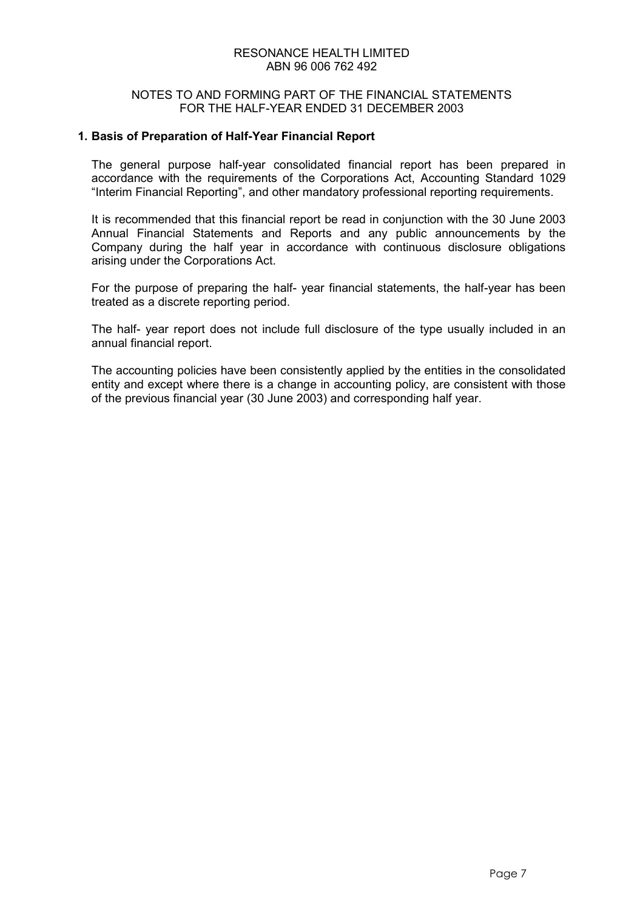#### NOTES TO AND FORMING PART OF THE FINANCIAL STATEMENTS FOR THE HALF-YEAR ENDED 31 DECEMBER 2003

#### **1. Basis of Preparation of Half-Year Financial Report**

The general purpose half-year consolidated financial report has been prepared in accordance with the requirements of the Corporations Act, Accounting Standard 1029 "Interim Financial Reporting", and other mandatory professional reporting requirements.

It is recommended that this financial report be read in conjunction with the 30 June 2003 Annual Financial Statements and Reports and any public announcements by the Company during the half year in accordance with continuous disclosure obligations arising under the Corporations Act.

For the purpose of preparing the half- year financial statements, the half-year has been treated as a discrete reporting period.

The half- year report does not include full disclosure of the type usually included in an annual financial report.

The accounting policies have been consistently applied by the entities in the consolidated entity and except where there is a change in accounting policy, are consistent with those of the previous financial year (30 June 2003) and corresponding half year.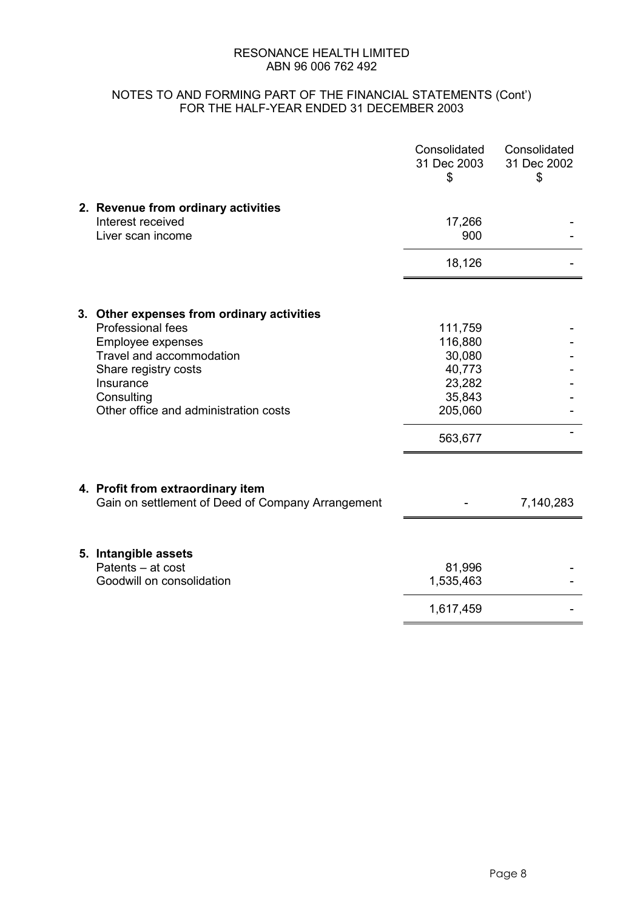### NOTES TO AND FORMING PART OF THE FINANCIAL STATEMENTS (Cont') FOR THE HALF-YEAR ENDED 31 DECEMBER 2003

|                                                                                        | Consolidated<br>31 Dec 2003<br>\$ | Consolidated<br>31 Dec 2002<br>\$ |
|----------------------------------------------------------------------------------------|-----------------------------------|-----------------------------------|
| 2. Revenue from ordinary activities<br>Interest received<br>Liver scan income          | 17,266<br>900                     |                                   |
|                                                                                        | 18,126                            |                                   |
| 3. Other expenses from ordinary activities                                             |                                   |                                   |
| Professional fees                                                                      | 111,759                           |                                   |
| <b>Employee expenses</b><br>Travel and accommodation                                   | 116,880<br>30,080                 |                                   |
| Share registry costs                                                                   | 40,773                            |                                   |
| Insurance                                                                              | 23,282                            |                                   |
| Consulting                                                                             | 35,843                            |                                   |
| Other office and administration costs                                                  | 205,060                           |                                   |
|                                                                                        | 563,677                           |                                   |
|                                                                                        |                                   |                                   |
| 4. Profit from extraordinary item<br>Gain on settlement of Deed of Company Arrangement |                                   | 7,140,283                         |
| 5. Intangible assets                                                                   |                                   |                                   |
| Patents - at cost<br>Goodwill on consolidation                                         | 81,996<br>1,535,463               |                                   |
|                                                                                        | 1,617,459                         |                                   |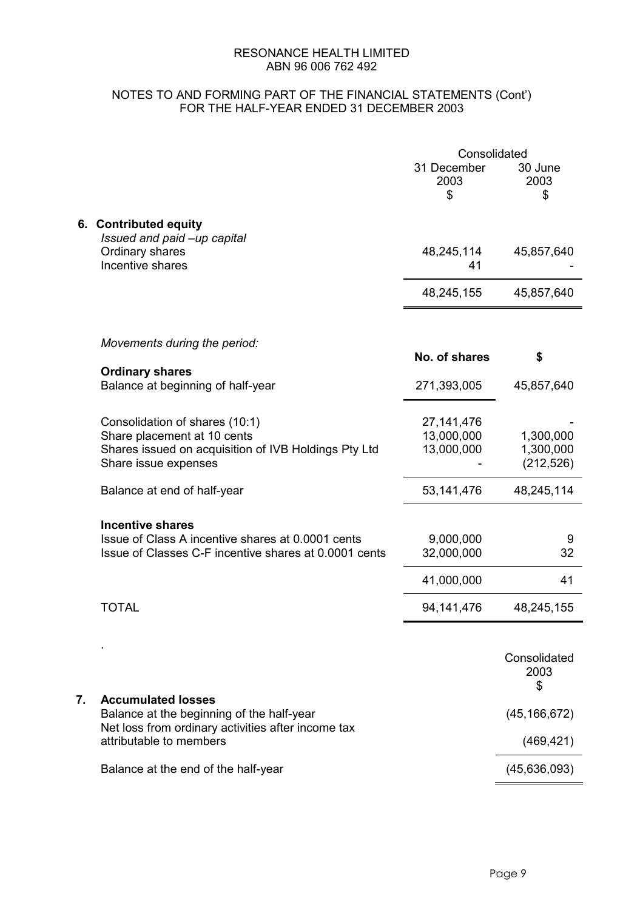### NOTES TO AND FORMING PART OF THE FINANCIAL STATEMENTS (Cont') FOR THE HALF-YEAR ENDED 31 DECEMBER 2003

|    |                                                                                                                                               | Consolidated                             |                                      |
|----|-----------------------------------------------------------------------------------------------------------------------------------------------|------------------------------------------|--------------------------------------|
|    |                                                                                                                                               | 31 December<br>2003<br>\$                | 30 June<br>2003<br>\$                |
|    | 6. Contributed equity<br>Issued and paid -up capital<br>Ordinary shares<br>Incentive shares                                                   | 48,245,114<br>41                         | 45,857,640                           |
|    |                                                                                                                                               | 48,245,155                               | 45,857,640                           |
|    | Movements during the period:                                                                                                                  | No. of shares                            | \$                                   |
|    | <b>Ordinary shares</b><br>Balance at beginning of half-year                                                                                   | 271,393,005                              | 45,857,640                           |
|    | Consolidation of shares (10:1)<br>Share placement at 10 cents<br>Shares issued on acquisition of IVB Holdings Pty Ltd<br>Share issue expenses | 27, 141, 476<br>13,000,000<br>13,000,000 | 1,300,000<br>1,300,000<br>(212, 526) |
|    | Balance at end of half-year                                                                                                                   | 53, 141, 476                             | 48,245,114                           |
|    | <b>Incentive shares</b><br>Issue of Class A incentive shares at 0.0001 cents<br>Issue of Classes C-F incentive shares at 0.0001 cents         | 9,000,000<br>32,000,000                  | 9<br>32                              |
|    | <b>TOTAL</b>                                                                                                                                  | 41,000,000<br>94, 141, 476               | 41<br>48,245,155                     |
|    |                                                                                                                                               |                                          |                                      |
|    |                                                                                                                                               |                                          | Consolidated<br>2003<br>\$           |
| 7. | <b>Accumulated losses</b><br>Balance at the beginning of the half-year                                                                        |                                          | (45, 166, 672)                       |
|    | Net loss from ordinary activities after income tax<br>attributable to members                                                                 |                                          | (469, 421)                           |
|    | Balance at the end of the half-year                                                                                                           |                                          | (45, 636, 093)                       |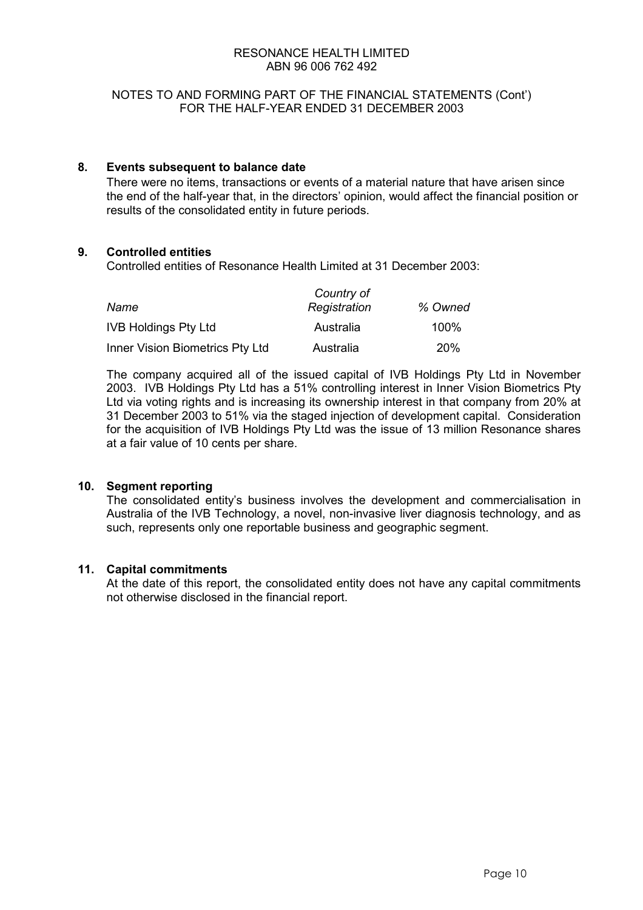#### NOTES TO AND FORMING PART OF THE FINANCIAL STATEMENTS (Cont') FOR THE HALF-YEAR ENDED 31 DECEMBER 2003

#### **8. Events subsequent to balance date**

There were no items, transactions or events of a material nature that have arisen since the end of the half-year that, in the directors' opinion, would affect the financial position or results of the consolidated entity in future periods.

#### **9. Controlled entities**

Controlled entities of Resonance Health Limited at 31 December 2003:

|                                 | Country of   |         |
|---------------------------------|--------------|---------|
| Name                            | Registration | % Owned |
| <b>IVB Holdings Pty Ltd</b>     | Australia    | 100%    |
| Inner Vision Biometrics Pty Ltd | Australia    | 20%     |

The company acquired all of the issued capital of IVB Holdings Pty Ltd in November 2003. IVB Holdings Pty Ltd has a 51% controlling interest in Inner Vision Biometrics Pty Ltd via voting rights and is increasing its ownership interest in that company from 20% at 31 December 2003 to 51% via the staged injection of development capital. Consideration for the acquisition of IVB Holdings Pty Ltd was the issue of 13 million Resonance shares at a fair value of 10 cents per share.

#### **10. Segment reporting**

The consolidated entity's business involves the development and commercialisation in Australia of the IVB Technology, a novel, non-invasive liver diagnosis technology, and as such, represents only one reportable business and geographic segment.

#### **11. Capital commitments**

 At the date of this report, the consolidated entity does not have any capital commitments not otherwise disclosed in the financial report.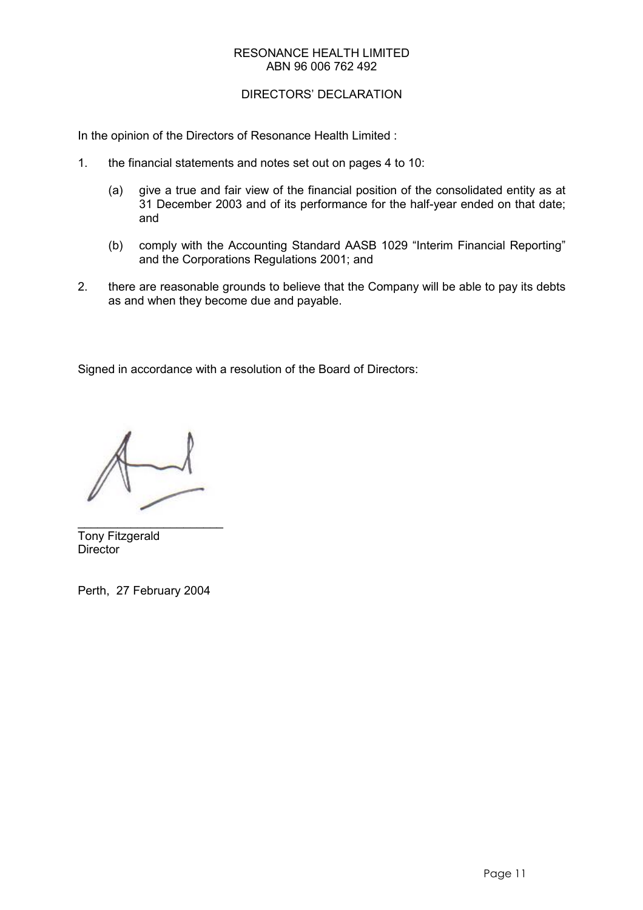#### DIRECTORS' DECLARATION

In the opinion of the Directors of Resonance Health Limited :

- 1. the financial statements and notes set out on pages 4 to 10:
	- (a) give a true and fair view of the financial position of the consolidated entity as at 31 December 2003 and of its performance for the half-year ended on that date; and
	- (b) comply with the Accounting Standard AASB 1029 "Interim Financial Reporting" and the Corporations Regulations 2001; and
- 2. there are reasonable grounds to believe that the Company will be able to pay its debts as and when they become due and payable.

Signed in accordance with a resolution of the Board of Directors:

 $\overline{\phantom{a}}$  , and the set of the set of the set of the set of the set of the set of the set of the set of the set of the set of the set of the set of the set of the set of the set of the set of the set of the set of the s Tony Fitzgerald **Director** 

Perth, 27 February 2004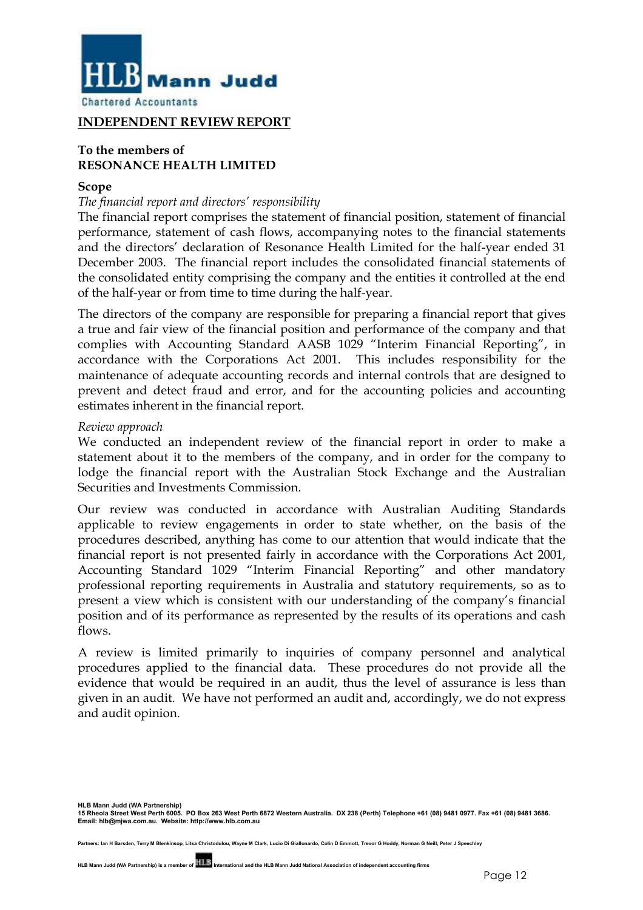

#### **INDEPENDENT REVIEW REPORT**

#### **To the members of RESONANCE HEALTH LIMITED**

#### **Scope**

#### *The financial report and directors' responsibility*

The financial report comprises the statement of financial position, statement of financial performance, statement of cash flows, accompanying notes to the financial statements and the directors' declaration of Resonance Health Limited for the half-year ended 31 December 2003. The financial report includes the consolidated financial statements of the consolidated entity comprising the company and the entities it controlled at the end of the half-year or from time to time during the half-year.

The directors of the company are responsible for preparing a financial report that gives a true and fair view of the financial position and performance of the company and that complies with Accounting Standard AASB 1029 "Interim Financial Reporting", in accordance with the Corporations Act 2001. This includes responsibility for the maintenance of adequate accounting records and internal controls that are designed to prevent and detect fraud and error, and for the accounting policies and accounting estimates inherent in the financial report.

#### *Review approach*

We conducted an independent review of the financial report in order to make a statement about it to the members of the company, and in order for the company to lodge the financial report with the Australian Stock Exchange and the Australian Securities and Investments Commission.

Our review was conducted in accordance with Australian Auditing Standards applicable to review engagements in order to state whether, on the basis of the procedures described, anything has come to our attention that would indicate that the financial report is not presented fairly in accordance with the Corporations Act 2001, Accounting Standard 1029 "Interim Financial Reporting" and other mandatory professional reporting requirements in Australia and statutory requirements, so as to present a view which is consistent with our understanding of the company's financial position and of its performance as represented by the results of its operations and cash flows.

A review is limited primarily to inquiries of company personnel and analytical procedures applied to the financial data. These procedures do not provide all the evidence that would be required in an audit, thus the level of assurance is less than given in an audit. We have not performed an audit and, accordingly, we do not express and audit opinion.

**HLB Mann Judd (WA Partnership) 15 Rheola Street West Perth 6005. PO Box 263 West Perth 6872 Western Australia. DX 238 (Perth) Telephone +61 (08) 9481 0977. Fax +61 (08) 9481 3686. Email: hlb@mjwa.com.au. Website: http://www.hlb.com.au**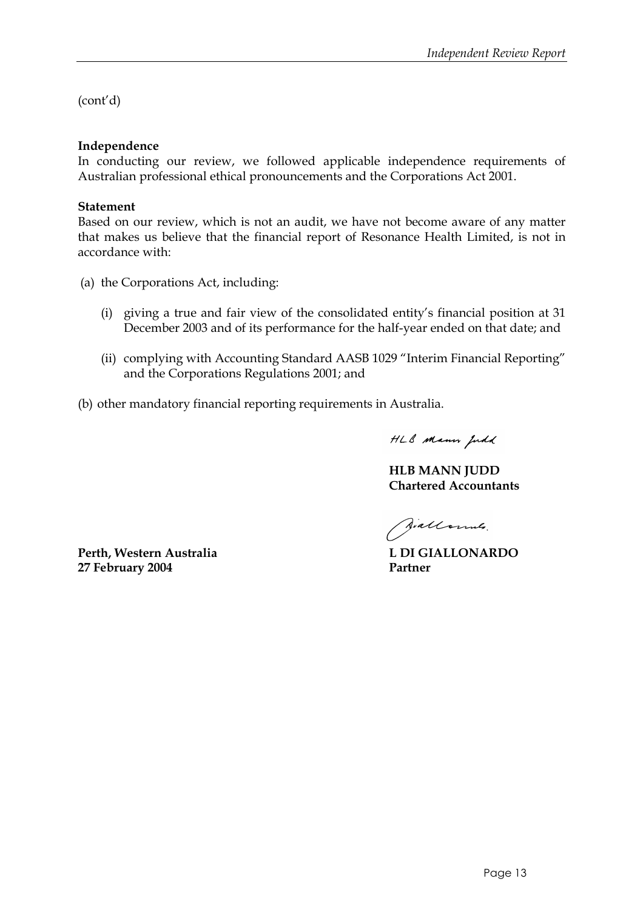(cont'd)

#### **Independence**

In conducting our review, we followed applicable independence requirements of Australian professional ethical pronouncements and the Corporations Act 2001.

#### **Statement**

Based on our review, which is not an audit, we have not become aware of any matter that makes us believe that the financial report of Resonance Health Limited, is not in accordance with:

- (a) the Corporations Act, including:
	- (i) giving a true and fair view of the consolidated entity's financial position at 31 December 2003 and of its performance for the half-year ended on that date; and
	- (ii) complying with Accounting Standard AASB 1029 "Interim Financial Reporting" and the Corporations Regulations 2001; and
- (b) other mandatory financial reporting requirements in Australia.

HLB Mann Judd

**HLB MANN JUDD Chartered Accountants** 

Jiallonnes.

Perth, Western Australia **L DI GIALLONARDO 27 February 2004 Partner**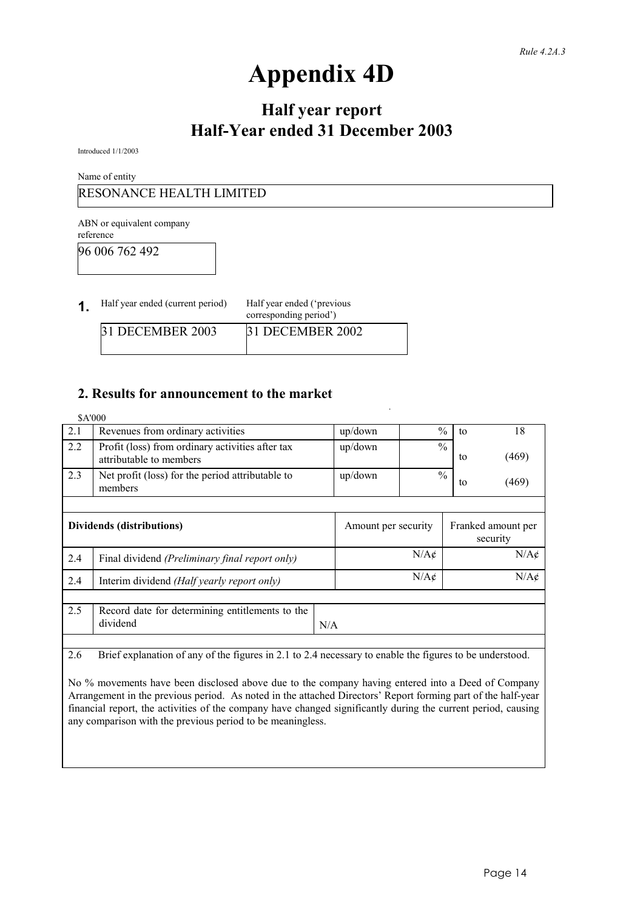# **Appendix 4D**

# **Half year report Half-Year ended 31 December 2003**

Introduced 1/1/2003

Name of entity

## RESONANCE HEALTH LIMITED

ABN or equivalent company reference

96 006 762 492

| 1 | Half year ended (current period) | Half year ended ('previous<br>corresponding period') |
|---|----------------------------------|------------------------------------------------------|
|   | 31 DECEMBER 2003                 | 31 DECEMBER 2002                                     |

# **2. Results for announcement to the market**

| \$A'000 |                                                                             |                     |                  |    |                                |
|---------|-----------------------------------------------------------------------------|---------------------|------------------|----|--------------------------------|
| 2.1     | Revenues from ordinary activities                                           | up/down             | $\frac{0}{0}$    | to | 18                             |
| 2.2     | Profit (loss) from ordinary activities after tax<br>attributable to members | up/down             | $\frac{0}{0}$    | to | (469)                          |
| 2.3     | Net profit (loss) for the period attributable to<br>members                 | $up$ /down          | $\frac{0}{0}$    | to | (469)                          |
|         |                                                                             |                     |                  |    |                                |
|         | Dividends (distributions)                                                   | Amount per security |                  |    | Franked amount per<br>security |
| 2.4     | Final dividend (Preliminary final report only)                              | $N/A\ell$           |                  |    | $N/A\ell$                      |
| 2.4     | Interim dividend (Half yearly report only)                                  |                     | $N/A\mathcal{C}$ |    | $N/A\acute{c}$                 |
|         |                                                                             |                     |                  |    |                                |
| 2.5     | Record date for determining entitlements to the<br>dividend                 | N/A                 |                  |    |                                |
|         |                                                                             |                     |                  |    |                                |

2.6 Brief explanation of any of the figures in 2.1 to 2.4 necessary to enable the figures to be understood.

No % movements have been disclosed above due to the company having entered into a Deed of Company Arrangement in the previous period. As noted in the attached Directors' Report forming part of the half-year financial report, the activities of the company have changed significantly during the current period, causing any comparison with the previous period to be meaningless.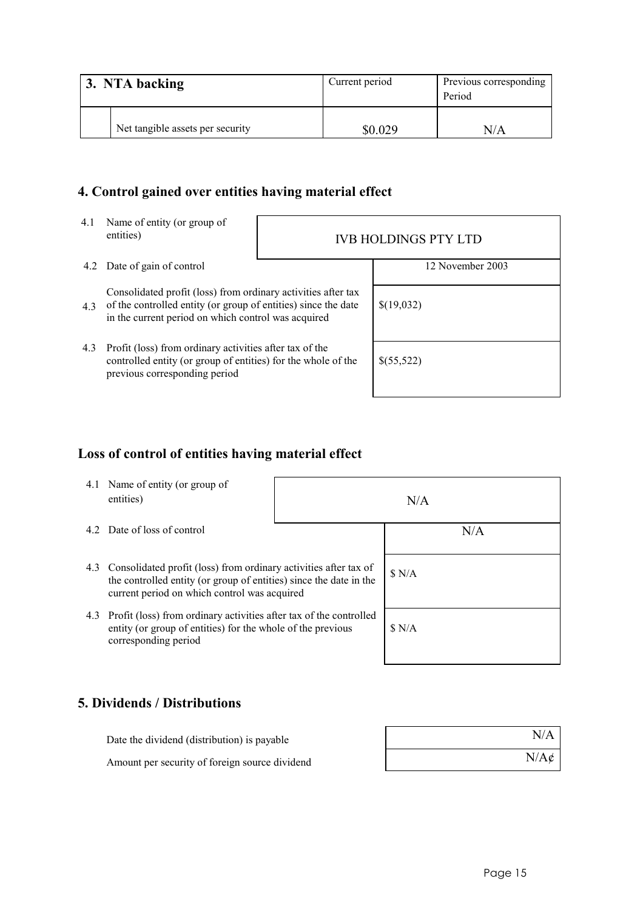| 3. NTA backing |                                  | Current period | Previous corresponding<br>Period |  |
|----------------|----------------------------------|----------------|----------------------------------|--|
|                | Net tangible assets per security | \$0.029        | N/A                              |  |

# **4. Control gained over entities having material effect**

- 4.1 Name of entity (or group of
- entities) IVB HOLDINGS PTY LTD 4.2 Date of gain of control 12 November 2003 4.3 of the controlled entity (or group of entities) since the date Consolidated profit (loss) from ordinary activities after tax in the current period on which control was acquired \$(19,032) 4.3 Profit (loss) from ordinary activities after tax of the controlled entity (or group of entities) for the whole of the previous corresponding period \$(55,522)

# **Loss of control of entities having material effect**

|     | 4.1 Name of entity (or group of<br>entities)                                                                                                                                           |  | N/A |
|-----|----------------------------------------------------------------------------------------------------------------------------------------------------------------------------------------|--|-----|
|     | 4.2 Date of loss of control                                                                                                                                                            |  | N/A |
| 4.3 | Consolidated profit (loss) from ordinary activities after tax of<br>the controlled entity (or group of entities) since the date in the<br>current period on which control was acquired |  | N/A |
|     | 4.3 Profit (loss) from ordinary activities after tax of the controlled<br>entity (or group of entities) for the whole of the previous<br>corresponding period                          |  | N/A |

# **5. Dividends / Distributions**

| Date the dividend (distribution) is payable    | N/A              |
|------------------------------------------------|------------------|
| Amount per security of foreign source dividend | $N/A\mathcal{C}$ |